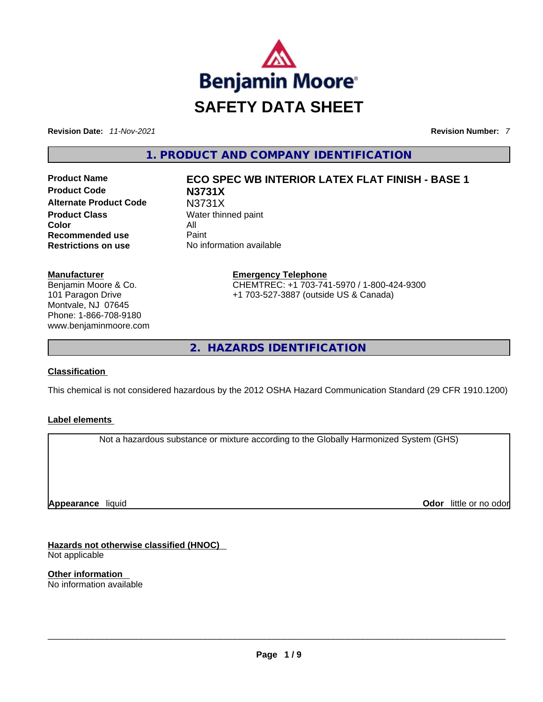

**Revision Date:** *11-Nov-2021* **Revision Number:** *7*

**1. PRODUCT AND COMPANY IDENTIFICATION** 

**Product Code N3731X Alternate Product Code** N3731X **Product Class Water thinned paint Color** All **Recommended use Paint Restrictions on use** No information available

#### **Manufacturer**

Benjamin Moore & Co. 101 Paragon Drive Montvale, NJ 07645 Phone: 1-866-708-9180 www.benjaminmoore.com

# **Product Name ECO SPEC WB INTERIOR LATEX FLAT FINISH - BASE 1**

**Emergency Telephone** CHEMTREC: +1 703-741-5970 / 1-800-424-9300 +1 703-527-3887 (outside US & Canada)

**2. HAZARDS IDENTIFICATION** 

# **Classification**

This chemical is not considered hazardous by the 2012 OSHA Hazard Communication Standard (29 CFR 1910.1200)

#### **Label elements**

Not a hazardous substance or mixture according to the Globally Harmonized System (GHS)

**Appearance** liquid

**Odor** little or no odor

**Hazards not otherwise classified (HNOC)**  Not applicable

**Other information**  No information available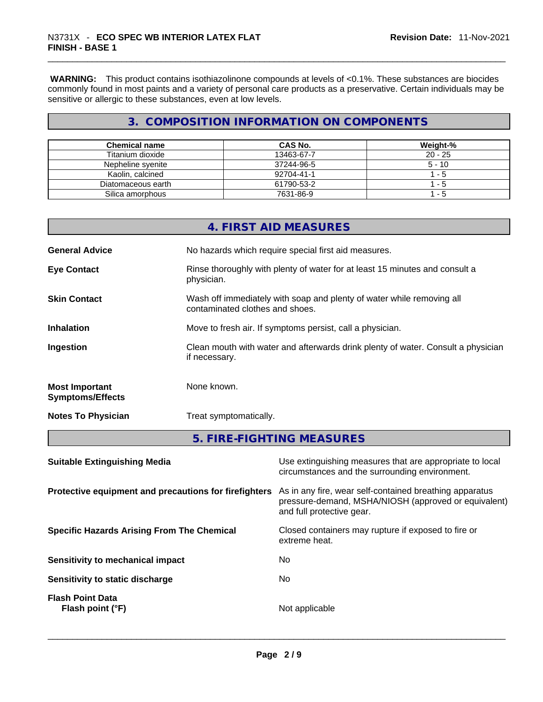**WARNING:** This product contains isothiazolinone compounds at levels of <0.1%. These substances are biocides commonly found in most paints and a variety of personal care products as a preservative. Certain individuals may be sensitive or allergic to these substances, even at low levels.

# **3. COMPOSITION INFORMATION ON COMPONENTS**

| <b>Chemical name</b> | CAS No.    | Weight-%  |
|----------------------|------------|-----------|
| Titanium dioxide     | 13463-67-7 | $20 - 25$ |
| Nepheline syenite    | 37244-96-5 | $5 - 10$  |
| Kaolin, calcined     | 92704-41-1 | 1 - 5     |
| Diatomaceous earth   | 61790-53-2 | - 5       |
| Silica amorphous     | 7631-86-9  | - 5       |

|                                                  | 4. FIRST AID MEASURES                                                                                    |
|--------------------------------------------------|----------------------------------------------------------------------------------------------------------|
| <b>General Advice</b>                            | No hazards which require special first aid measures.                                                     |
| <b>Eye Contact</b>                               | Rinse thoroughly with plenty of water for at least 15 minutes and consult a<br>physician.                |
| <b>Skin Contact</b>                              | Wash off immediately with soap and plenty of water while removing all<br>contaminated clothes and shoes. |
| <b>Inhalation</b>                                | Move to fresh air. If symptoms persist, call a physician.                                                |
| Ingestion                                        | Clean mouth with water and afterwards drink plenty of water. Consult a physician<br>if necessary.        |
| <b>Most Important</b><br><b>Symptoms/Effects</b> | None known.                                                                                              |
| <b>Notes To Physician</b>                        | Treat symptomatically.                                                                                   |
|                                                  | 5. FIRE-FIGHTING MEASURES                                                                                |
|                                                  |                                                                                                          |

| <b>Suitable Extinguishing Media</b>                   | Use extinguishing measures that are appropriate to local<br>circumstances and the surrounding environment.                                   |
|-------------------------------------------------------|----------------------------------------------------------------------------------------------------------------------------------------------|
| Protective equipment and precautions for firefighters | As in any fire, wear self-contained breathing apparatus<br>pressure-demand, MSHA/NIOSH (approved or equivalent)<br>and full protective gear. |
| <b>Specific Hazards Arising From The Chemical</b>     | Closed containers may rupture if exposed to fire or<br>extreme heat.                                                                         |
| Sensitivity to mechanical impact                      | No.                                                                                                                                          |
| Sensitivity to static discharge                       | No.                                                                                                                                          |
| <b>Flash Point Data</b><br>Flash point (°F)           | Not applicable                                                                                                                               |
|                                                       |                                                                                                                                              |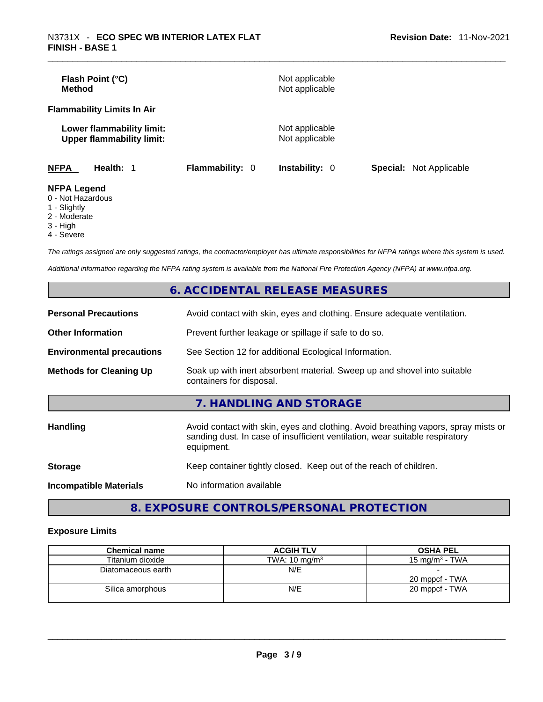| Flash Point (°C)<br><b>Method</b>                             |                        | Not applicable<br>Not applicable |                                |
|---------------------------------------------------------------|------------------------|----------------------------------|--------------------------------|
| <b>Flammability Limits In Air</b>                             |                        |                                  |                                |
| Lower flammability limit:<br><b>Upper flammability limit:</b> |                        | Not applicable<br>Not applicable |                                |
| <b>NFPA</b><br>Health: 1                                      | <b>Flammability: 0</b> | <b>Instability: 0</b>            | <b>Special:</b> Not Applicable |
| <b>NFPA Legend</b><br>0 - Not Hazardous                       |                        |                                  |                                |

- 
- 1 Slightly
- 2 Moderate
- 3 High
- 4 Severe

*The ratings assigned are only suggested ratings, the contractor/employer has ultimate responsibilities for NFPA ratings where this system is used.* 

*Additional information regarding the NFPA rating system is available from the National Fire Protection Agency (NFPA) at www.nfpa.org.* 

|                                  | 6. ACCIDENTAL RELEASE MEASURES                                                                                                                                                   |
|----------------------------------|----------------------------------------------------------------------------------------------------------------------------------------------------------------------------------|
| <b>Personal Precautions</b>      | Avoid contact with skin, eyes and clothing. Ensure adequate ventilation.                                                                                                         |
| <b>Other Information</b>         | Prevent further leakage or spillage if safe to do so.                                                                                                                            |
| <b>Environmental precautions</b> | See Section 12 for additional Ecological Information.                                                                                                                            |
| <b>Methods for Cleaning Up</b>   | Soak up with inert absorbent material. Sweep up and shovel into suitable<br>containers for disposal.                                                                             |
|                                  | 7. HANDLING AND STORAGE                                                                                                                                                          |
| <b>Handling</b>                  | Avoid contact with skin, eyes and clothing. Avoid breathing vapors, spray mists or<br>sanding dust. In case of insufficient ventilation, wear suitable respiratory<br>equipment. |
| <b>Storage</b>                   | Keep container tightly closed. Keep out of the reach of children.                                                                                                                |
| <b>Incompatible Materials</b>    | No information available                                                                                                                                                         |
|                                  |                                                                                                                                                                                  |

# **8. EXPOSURE CONTROLS/PERSONAL PROTECTION**

#### **Exposure Limits**

| <b>Chemical name</b> | <b>ACGIH TLV</b>         | <b>OSHA PEL</b>   |
|----------------------|--------------------------|-------------------|
| Titanium dioxide     | TWA: $10 \text{ mg/m}^3$ | 15 mg/m $3$ - TWA |
| Diatomaceous earth   | N/E                      | 20 mppcf - TWA    |
| Silica amorphous     | N/E                      | 20 mppcf - TWA    |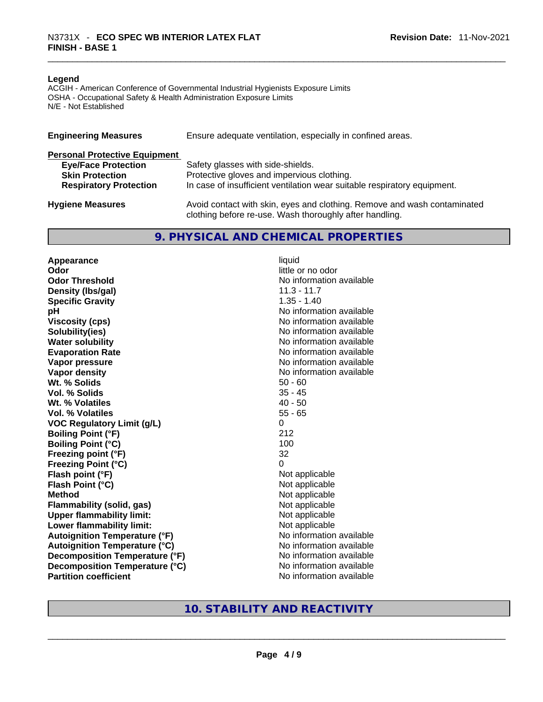#### **Legend**

ACGIH - American Conference of Governmental Industrial Hygienists Exposure Limits OSHA - Occupational Safety & Health Administration Exposure Limits N/E - Not Established

| <b>Engineering Measures</b>          | Ensure adequate ventilation, especially in confined areas.                                                                          |
|--------------------------------------|-------------------------------------------------------------------------------------------------------------------------------------|
| <b>Personal Protective Equipment</b> |                                                                                                                                     |
| <b>Eye/Face Protection</b>           | Safety glasses with side-shields.                                                                                                   |
| <b>Skin Protection</b>               | Protective gloves and impervious clothing.                                                                                          |
| <b>Respiratory Protection</b>        | In case of insufficient ventilation wear suitable respiratory equipment.                                                            |
| <b>Hygiene Measures</b>              | Avoid contact with skin, eyes and clothing. Remove and wash contaminated<br>clothing before re-use. Wash thoroughly after handling. |

#### **9. PHYSICAL AND CHEMICAL PROPERTIES**

**Appearance** liquid **Odor** little or no odor **Odor Threshold** No information available **Density (lbs/gal)** 11.3 - 11.7 **Specific Gravity** 1.35 - 1.40 **pH bH** *pH* **Viscosity (cps) Viscosity (cps) No information available Solubility(ies)** No information available **Water solubility No information available No information available Evaporation Rate No information available No information available Vapor pressure**  No information available **Vapor density No information available No** information available **Wt. % Solids** 50 - 60 **Vol. % Solids Wt. % Volatiles** 40 - 50 **Vol. % Volatiles** 55 - 65 **VOC Regulatory Limit (g/L)** 0 **Boiling Point (°F)** 212 **Boiling Point (°C) Freezing point (°F)** 32 **Freezing Point (°C)** 0 **Flash point (°F) Flash Point (°C)** Not applicable **Method** Not applicable **Flammability (solid, gas)** Not applicable **Upper flammability limit:** Not applicable **Lower flammability limit:** Not applicable **Autoignition Temperature (°F)** No information available **Autoignition Temperature (°C)**<br> **Decomposition Temperature (°F)** No information available **Decomposition Temperature (°F) Decomposition Temperature (°C)** No information available **Partition coefficient**<br>No information available<br>No information available<br>No information available<br>No information available<br>No information available<br>No information available<br>No information available<br>No information availabl

# **10. STABILITY AND REACTIVITY**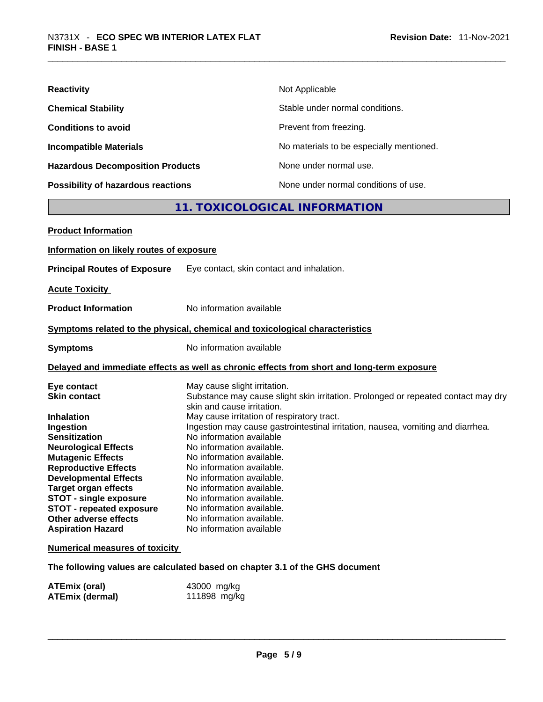| <b>Reactivity</b>                         | Not Applicable                           |
|-------------------------------------------|------------------------------------------|
| <b>Chemical Stability</b>                 | Stable under normal conditions.          |
| <b>Conditions to avoid</b>                | Prevent from freezing.                   |
| <b>Incompatible Materials</b>             | No materials to be especially mentioned. |
| <b>Hazardous Decomposition Products</b>   | None under normal use.                   |
| <b>Possibility of hazardous reactions</b> | None under normal conditions of use.     |

# **11. TOXICOLOGICAL INFORMATION**

| <b>Product Information</b>               |                                                                                                                 |
|------------------------------------------|-----------------------------------------------------------------------------------------------------------------|
| Information on likely routes of exposure |                                                                                                                 |
| <b>Principal Routes of Exposure</b>      | Eye contact, skin contact and inhalation.                                                                       |
| <b>Acute Toxicity</b>                    |                                                                                                                 |
| <b>Product Information</b>               | No information available                                                                                        |
|                                          | Symptoms related to the physical, chemical and toxicological characteristics                                    |
| <b>Symptoms</b>                          | No information available                                                                                        |
|                                          | Delayed and immediate effects as well as chronic effects from short and long-term exposure                      |
| Eye contact                              | May cause slight irritation.                                                                                    |
| <b>Skin contact</b>                      | Substance may cause slight skin irritation. Prolonged or repeated contact may dry<br>skin and cause irritation. |
| <b>Inhalation</b>                        | May cause irritation of respiratory tract.                                                                      |
| Ingestion                                | Ingestion may cause gastrointestinal irritation, nausea, vomiting and diarrhea.                                 |
| <b>Sensitization</b>                     | No information available                                                                                        |
| <b>Neurological Effects</b>              | No information available.                                                                                       |
| <b>Mutagenic Effects</b>                 | No information available.                                                                                       |
| <b>Reproductive Effects</b>              | No information available.                                                                                       |
| <b>Developmental Effects</b>             | No information available.                                                                                       |
| <b>Target organ effects</b>              | No information available.                                                                                       |
| <b>STOT - single exposure</b>            | No information available.                                                                                       |
| <b>STOT - repeated exposure</b>          | No information available.                                                                                       |
| Other adverse effects                    | No information available.                                                                                       |
| <b>Aspiration Hazard</b>                 | No information available                                                                                        |
| <b>Numerical measures of toxicity</b>    |                                                                                                                 |

**The following values are calculated based on chapter 3.1 of the GHS document**

| <b>ATEmix (oral)</b>   | 43000 mg/kg  |
|------------------------|--------------|
| <b>ATEmix (dermal)</b> | 111898 mg/kg |
|                        |              |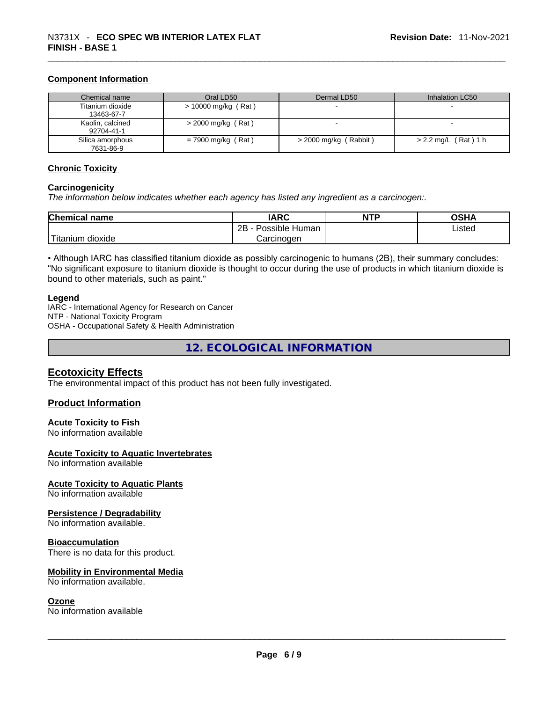#### **Component Information**

| Chemical name                  | Oral LD50             | Dermal LD50             | Inhalation LC50      |
|--------------------------------|-----------------------|-------------------------|----------------------|
| Titanium dioxide<br>13463-67-7 | $> 10000$ mg/kg (Rat) |                         |                      |
| Kaolin, calcined<br>92704-41-1 | $>$ 2000 mg/kg (Rat)  |                         |                      |
| Silica amorphous<br>7631-86-9  | $= 7900$ mg/kg (Rat)  | $>$ 2000 mg/kg (Rabbit) | > 2.2 mg/L (Rat) 1 h |

#### **Chronic Toxicity**

#### **Carcinogenicity**

*The information below indicates whether each agency has listed any ingredient as a carcinogen:.* 

| <b>Chemical name</b> | <b>IARC</b>          | <b>NTP</b> | OSHA   |
|----------------------|----------------------|------------|--------|
|                      | 2B<br>Possible Human |            | Listed |
| dioxide<br>itanium   | Carcinogen           |            |        |

• Although IARC has classified titanium dioxide as possibly carcinogenic to humans (2B), their summary concludes: "No significant exposure to titanium dioxide is thought to occur during the use of products in which titanium dioxide is bound to other materials, such as paint."

#### **Legend**

IARC - International Agency for Research on Cancer NTP - National Toxicity Program OSHA - Occupational Safety & Health Administration

**12. ECOLOGICAL INFORMATION** 

# **Ecotoxicity Effects**

The environmental impact of this product has not been fully investigated.

#### **Product Information**

#### **Acute Toxicity to Fish**

No information available

#### **Acute Toxicity to Aquatic Invertebrates**

No information available

#### **Acute Toxicity to Aquatic Plants**

No information available

#### **Persistence / Degradability**

No information available.

#### **Bioaccumulation**

There is no data for this product.

# **Mobility in Environmental Media**

#### **Ozone**

No information available. \_\_\_\_\_\_\_\_\_\_\_\_\_\_\_\_\_\_\_\_\_\_\_\_\_\_\_\_\_\_\_\_\_\_\_\_\_\_\_\_\_\_\_\_\_\_\_\_\_\_\_\_\_\_\_\_\_\_\_\_\_\_\_\_\_\_\_\_\_\_\_\_\_\_\_\_\_\_\_\_\_\_\_\_\_\_\_\_\_\_\_\_\_ No information available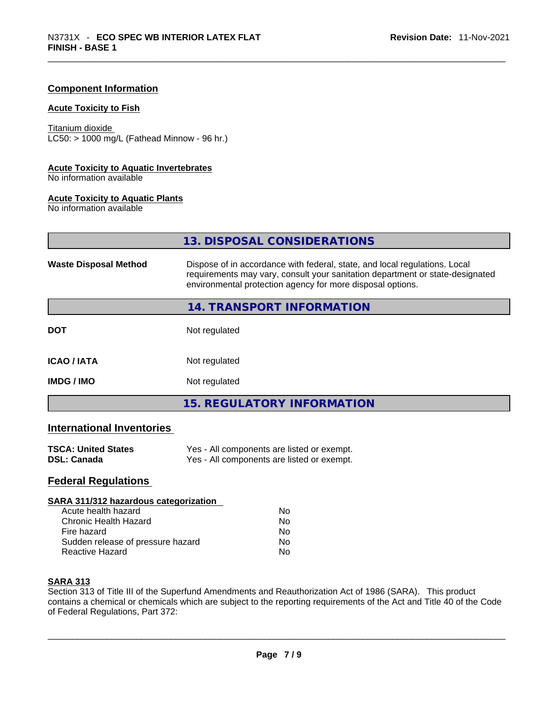#### **Component Information**

#### **Acute Toxicity to Fish**

Titanium dioxide  $LC50:$  > 1000 mg/L (Fathead Minnow - 96 hr.)

#### **Acute Toxicity to Aquatic Invertebrates**

No information available

#### **Acute Toxicity to Aquatic Plants**

No information available

|                              | 13. DISPOSAL CONSIDERATIONS                                                                                                                                                                                               |  |
|------------------------------|---------------------------------------------------------------------------------------------------------------------------------------------------------------------------------------------------------------------------|--|
| <b>Waste Disposal Method</b> | Dispose of in accordance with federal, state, and local regulations. Local<br>requirements may vary, consult your sanitation department or state-designated<br>environmental protection agency for more disposal options. |  |
|                              | 14. TRANSPORT INFORMATION                                                                                                                                                                                                 |  |
| <b>DOT</b>                   | Not regulated                                                                                                                                                                                                             |  |
| <b>ICAO/IATA</b>             | Not regulated                                                                                                                                                                                                             |  |
| <b>IMDG / IMO</b>            | Not regulated                                                                                                                                                                                                             |  |
|                              | <b>15. REGULATORY INFORMATION</b>                                                                                                                                                                                         |  |

# **International Inventories**

| <b>TSCA: United States</b> | Yes - All components are listed or exempt. |
|----------------------------|--------------------------------------------|
| DSL: Canada                | Yes - All components are listed or exempt. |

### **Federal Regulations**

#### **SARA 311/312 hazardous categorization**

| Acute health hazard               | Nο |  |
|-----------------------------------|----|--|
| Chronic Health Hazard             | Nο |  |
| Fire hazard                       | Nο |  |
| Sudden release of pressure hazard | Nο |  |
| Reactive Hazard                   | Nο |  |

#### **SARA 313**

Section 313 of Title III of the Superfund Amendments and Reauthorization Act of 1986 (SARA). This product contains a chemical or chemicals which are subject to the reporting requirements of the Act and Title 40 of the Code of Federal Regulations, Part 372: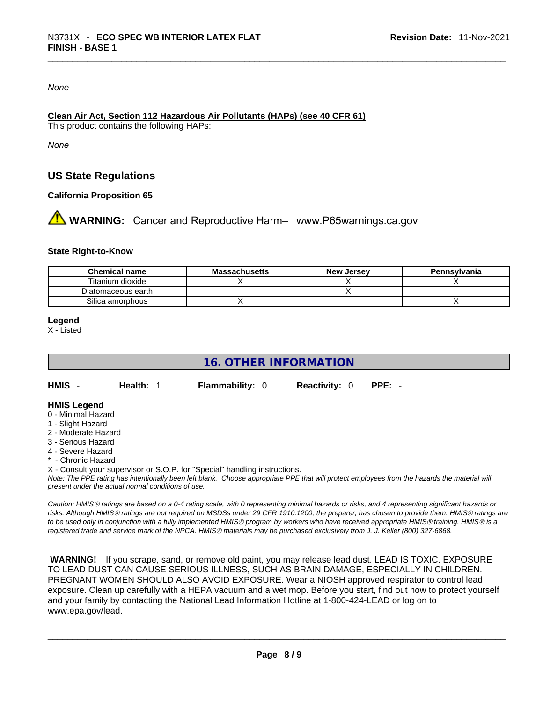*None*

#### **Clean Air Act,Section 112 Hazardous Air Pollutants (HAPs) (see 40 CFR 61)** This product contains the following HAPs:

*None*

# **US State Regulations**

#### **California Proposition 65**

**A** WARNING: Cancer and Reproductive Harm– www.P65warnings.ca.gov

#### **State Right-to-Know**

| Chemical name      | <b>Massachusetts</b> | <b>New Jersey</b> | Pennsylvania |
|--------------------|----------------------|-------------------|--------------|
| Titanium dioxide   |                      |                   |              |
| Diatomaceous earth |                      |                   |              |
| Silica amorphous   |                      |                   |              |

**Legend**

X - Listed

# **16. OTHER INFORMATION**

| HMIS - | <b>Health: 1</b> | <b>Flammability: 0</b> | <b>Reactivity: 0 PPE: -</b> |  |
|--------|------------------|------------------------|-----------------------------|--|
|        |                  |                        |                             |  |

#### **HMIS Legend**

- 0 Minimal Hazard
- 1 Slight Hazard
- 2 Moderate Hazard
- 3 Serious Hazard
- 4 Severe Hazard
- \* Chronic Hazard

X - Consult your supervisor or S.O.P. for "Special" handling instructions.

Note: The PPE rating has intentionally been left blank. Choose appropriate PPE that will protect employees from the hazards the material will *present under the actual normal conditions of use.* 

*Caution: HMISÒ ratings are based on a 0-4 rating scale, with 0 representing minimal hazards or risks, and 4 representing significant hazards or risks. Although HMISÒ ratings are not required on MSDSs under 29 CFR 1910.1200, the preparer, has chosen to provide them. HMISÒ ratings are to be used only in conjunction with a fully implemented HMISÒ program by workers who have received appropriate HMISÒ training. HMISÒ is a registered trade and service mark of the NPCA. HMISÒ materials may be purchased exclusively from J. J. Keller (800) 327-6868.* 

 **WARNING!** If you scrape, sand, or remove old paint, you may release lead dust. LEAD IS TOXIC. EXPOSURE TO LEAD DUST CAN CAUSE SERIOUS ILLNESS, SUCH AS BRAIN DAMAGE, ESPECIALLY IN CHILDREN. PREGNANT WOMEN SHOULD ALSO AVOID EXPOSURE.Wear a NIOSH approved respirator to control lead exposure. Clean up carefully with a HEPA vacuum and a wet mop. Before you start, find out how to protect yourself and your family by contacting the National Lead Information Hotline at 1-800-424-LEAD or log on to www.epa.gov/lead.